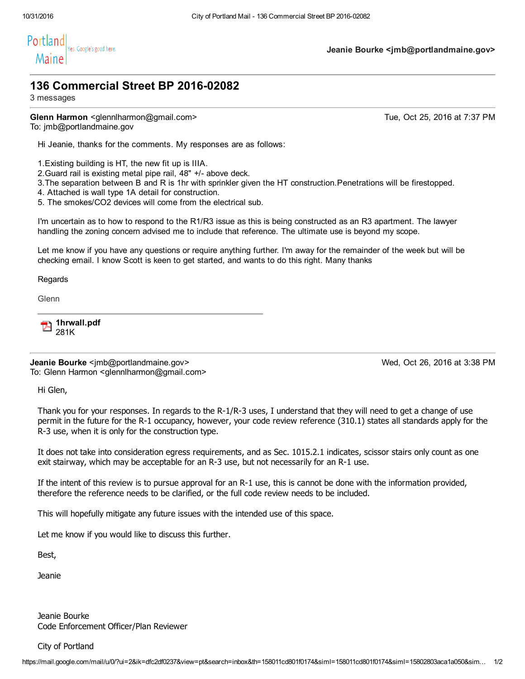

Jeanie Bourke <jmb@portlandmaine.gov>

## 136 Commercial Street BP 2016-02082

3 messages

Glenn Harmon <qlennlharmon@gmail.com> Tue, Oct 25, 2016 at 7:37 PM To: jmb@portlandmaine.gov

Hi Jeanie, thanks for the comments. My responses are as follows:

1.Existing building is HT, the new fit up is IIIA.

2. Guard rail is existing metal pipe rail, 48" +/- above deck.

3.The separation between B and R is 1hr with sprinkler given the HT construction.Penetrations will be firestopped.

4. Attached is wall type 1A detail for construction.

5. The smokes/CO2 devices will come from the electrical sub.

I'm uncertain as to how to respond to the R1/R3 issue as this is being constructed as an R3 apartment. The lawyer handling the zoning concern advised me to include that reference. The ultimate use is beyond my scope.

Let me know if you have any questions or require anything further. I'm away for the remainder of the week but will be checking email. I know Scott is keen to get started, and wants to do this right. Many thanks

Regards

**Glenn** 

1hrwall.pdf 281K

Jeanie Bourke <jmb@portlandmaine.gov> Wed, Oct 26, 2016 at 3:38 PM To: Glenn Harmon <glennlharmon@gmail.com>

Hi Glen,

Thank you for your responses. In regards to the R-1/R-3 uses, I understand that they will need to get a change of use permit in the future for the R1 occupancy, however, your code review reference (310.1) states all standards apply for the R-3 use, when it is only for the construction type.

It does not take into consideration egress requirements, and as Sec. 1015.2.1 indicates, scissor stairs only count as one exit stairway, which may be acceptable for an R-3 use, but not necessarily for an R-1 use.

If the intent of this review is to pursue approval for an R-1 use, this is cannot be done with the information provided, therefore the reference needs to be clarified, or the full code review needs to be included.

This will hopefully mitigate any future issues with the intended use of this space.

Let me know if you would like to discuss this further.

Best,

Jeanie

Jeanie Bourke Code Enforcement Officer/Plan Reviewer

City of Portland